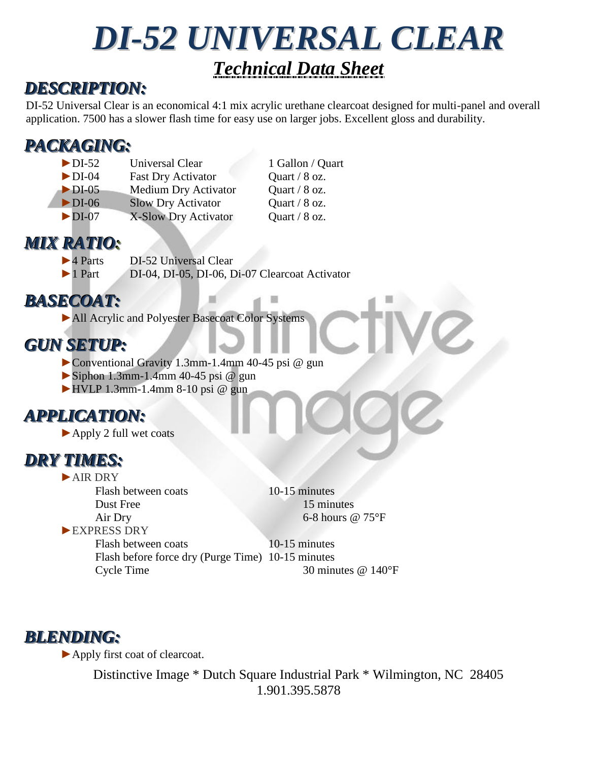# *DI-52 UNIVERSAL CLEAR Technical Data Sheet*

#### *DESCRIPTION:*

DI-52 Universal Clear is an economical 4:1 mix acrylic urethane clearcoat designed for multi-panel and overall application. 7500 has a slower flash time for easy use on larger jobs. Excellent gloss and durability.

### *PACKAGING:*

► DI-52 Universal Clear 1 Gallon / Quart ►DI-04 Fast Dry Activator Quart / 8 oz. ►DI-05 Medium Dry Activator Quart / 8 oz. ►DI-06 Slow Dry Activator Quart / 8 oz. ►DI-07 X-Slow Dry Activator Quart / 8 oz.

### *MIX RATIO:*

- ►4 Parts DI-52 Universal Clear
- ►1 Part DI-04, DI-05, DI-06, Di-07 Clearcoat Activator

## *BASECOAT:*

►All Acrylic and Polyester Basecoat Color Systems

#### *GUN SETUP:*

- ►Conventional Gravity 1.3mm-1.4mm 40-45 psi @ gun
- $\blacktriangleright$  Siphon 1.3mm-1.4mm 40-45 psi @ gun
- $\blacktriangleright$  HVLP 1.3mm-1.4mm 8-10 psi @ gun

### *APPLICATION:*

►Apply 2 full wet coats

#### *DRY TIMES:*

►AIR DRY Flash between coats 10-15 minutes Dust Free 15 minutes Air Dry 6-8 hours @ 75°F ►EXPRESS DRY

Flash between coats 10-15 minutes Flash before force dry (Purge Time) 10-15 minutes Cycle Time 30 minutes @ 140°F

#### *BLENDING:*

►Apply first coat of clearcoat.

Distinctive Image \* Dutch Square Industrial Park \* Wilmington, NC 28405 1.901.395.5878